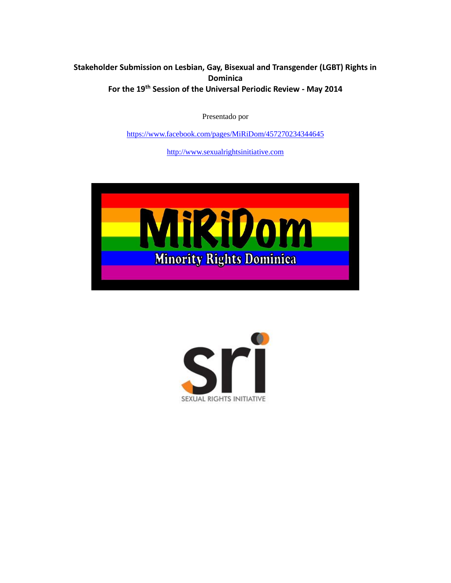# **Stakeholder Submission on Lesbian, Gay, Bisexual and Transgender (LGBT) Rights in Dominica For the 19th Session of the Universal Periodic Review - May 2014**

Presentado por

<https://www.facebook.com/pages/MiRiDom/457270234344645>

[http://www.sexualrightsinitiative.com](http://www.sexualrightsinitiative.com/)



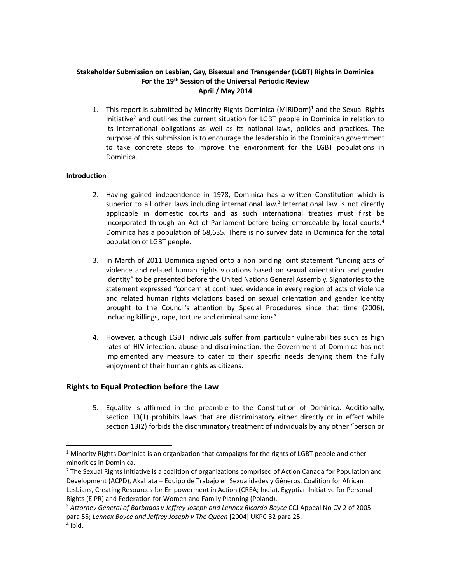## **Stakeholder Submission on Lesbian, Gay, Bisexual and Transgender (LGBT) Rights in Dominica For the 19th Session of the Universal Periodic Review April / May 2014**

1. This report is submitted by Minority Rights Dominica (MiRiDom)<sup>1</sup> and the Sexual Rights Initiative<sup>2</sup> and outlines the current situation for LGBT people in Dominica in relation to its international obligations as well as its national laws, policies and practices. The purpose of this submission is to encourage the leadership in the Dominican government to take concrete steps to improve the environment for the LGBT populations in Dominica.

## **Introduction**

 $\overline{a}$ 

- 2. Having gained independence in 1978, Dominica has a written Constitution which is superior to all other laws including international law.<sup>3</sup> International law is not directly applicable in domestic courts and as such international treaties must first be incorporated through an Act of Parliament before being enforceable by local courts.<sup>4</sup> Dominica has a population of 68,635. There is no survey data in Dominica for the total population of LGBT people.
- 3. In March of 2011 Dominica signed onto a non binding joint statement "Ending acts of violence and related human rights violations based on sexual orientation and gender identity" to be presented before the United Nations General Assembly. Signatories to the statement expressed "concern at continued evidence in every region of acts of violence and related human rights violations based on sexual orientation and gender identity brought to the Council's attention by Special Procedures since that time (2006), including killings, rape, torture and criminal sanctions".
- 4. However, although LGBT individuals suffer from particular vulnerabilities such as high rates of HIV infection, abuse and discrimination, the Government of Dominica has not implemented any measure to cater to their specific needs denying them the fully enjoyment of their human rights as citizens.

## **Rights to Equal Protection before the Law**

5. Equality is affirmed in the preamble to the Constitution of Dominica. Additionally, section 13(1) prohibits laws that are discriminatory either directly or in effect while section 13(2) forbids the discriminatory treatment of individuals by any other "person or

 $1$  Minority Rights Dominica is an organization that campaigns for the rights of LGBT people and other minorities in Dominica.

<sup>&</sup>lt;sup>2</sup> The Sexual Rights Initiative is a coalition of organizations comprised of Action Canada for Population and Development (ACPD), Akahatá – Equipo de Trabajo en Sexualidades y Géneros, Coalition for African Lesbians, Creating Resources for Empowerment in Action (CREA; India), Egyptian Initiative for Personal Rights (EIPR) and Federation for Women and Family Planning (Poland).

<sup>3</sup> *Attorney General of Barbados v Jeffrey Joseph and Lennox Ricardo Boyce* CCJ Appeal No CV 2 of 2005 para 55; *Lennox Boyce and Jeffrey Joseph v The Queen* [2004] UKPC 32 para 25. 4 Ibid.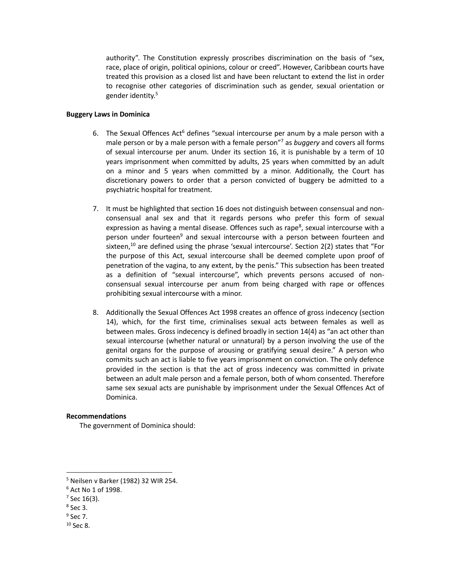authority". The Constitution expressly proscribes discrimination on the basis of "sex, race, place of origin, political opinions, colour or creed". However, Caribbean courts have treated this provision as a closed list and have been reluctant to extend the list in order to recognise other categories of discrimination such as gender, sexual orientation or gender identity. 5

#### **Buggery Laws in Dominica**

- 6. The Sexual Offences Act $6$  defines "sexual intercourse per anum by a male person with a male person or by a male person with a female person"<sup>7</sup> as *buggery* and covers all forms of sexual intercourse per anum. Under its section 16, it is punishable by a term of 10 years imprisonment when committed by adults, 25 years when committed by an adult on a minor and 5 years when committed by a minor. Additionally, the Court has discretionary powers to order that a person convicted of buggery be admitted to a psychiatric hospital for treatment.
- 7. It must be highlighted that section 16 does not distinguish between consensual and nonconsensual anal sex and that it regards persons who prefer this form of sexual expression as having a mental disease. Offences such as rape<sup>8</sup>, sexual intercourse with a person under fourteen<sup>9</sup> and sexual intercourse with a person between fourteen and sixteen,<sup>10</sup> are defined using the phrase 'sexual intercourse'. Section  $2(2)$  states that "For the purpose of this Act, sexual intercourse shall be deemed complete upon proof of penetration of the vagina, to any extent, by the penis." This subsection has been treated as a definition of "sexual intercourse", which prevents persons accused of nonconsensual sexual intercourse per anum from being charged with rape or offences prohibiting sexual intercourse with a minor.
- 8. Additionally the Sexual Offences Act 1998 creates an offence of gross indecency (section 14), which, for the first time, criminalises sexual acts between females as well as between males. Gross indecency is defined broadly in section 14(4) as "an act other than sexual intercourse (whether natural or unnatural) by a person involving the use of the genital organs for the purpose of arousing or gratifying sexual desire." A person who commits such an act is liable to five years imprisonment on conviction. The only defence provided in the section is that the act of gross indecency was committed in private between an adult male person and a female person, both of whom consented. Therefore same sex sexual acts are punishable by imprisonment under the Sexual Offences Act of Dominica.

## **Recommendations**

The government of Dominica should:

 $\overline{a}$ 

 $9$  Sec 7.

<sup>5</sup> Neilsen v Barker (1982) 32 WIR 254.

<sup>6</sup> Act No 1 of 1998.

 $7$  Sec 16(3).

<sup>8</sup> Sec 3.

 $10$  Sec 8.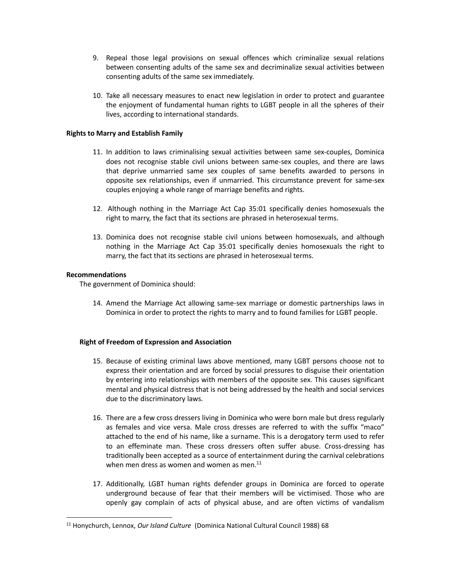- 9. Repeal those legal provisions on sexual offences which criminalize sexual relations between consenting adults of the same sex and decriminalize sexual activities between consenting adults of the same sex immediately.
- 10. Take all necessary measures to enact new legislation in order to protect and guarantee the enjoyment of fundamental human rights to LGBT people in all the spheres of their lives, according to international standards.

## **Rights to Marry and Establish Family**

- 11. In addition to laws criminalising sexual activities between same sex-couples, Dominica does not recognise stable civil unions between same-sex couples, and there are laws that deprive unmarried same sex couples of same benefits awarded to persons in opposite sex relationships, even if unmarried. This circumstance prevent for same-sex couples enjoying a whole range of marriage benefits and rights.
- 12. Although nothing in the Marriage Act Cap 35:01 specifically denies homosexuals the right to marry, the fact that its sections are phrased in heterosexual terms.
- 13. Dominica does not recognise stable civil unions between homosexuals, and although nothing in the Marriage Act Cap 35:01 specifically denies homosexuals the right to marry, the fact that its sections are phrased in heterosexual terms.

## **Recommendations**

 $\overline{a}$ 

The government of Dominica should:

14. Amend the Marriage Act allowing same-sex marriage or domestic partnerships laws in Dominica in order to protect the rights to marry and to found families for LGBT people.

## **Right of Freedom of Expression and Association**

- 15. Because of existing criminal laws above mentioned, many LGBT persons choose not to express their orientation and are forced by social pressures to disguise their orientation by entering into relationships with members of the opposite sex. This causes significant mental and physical distress that is not being addressed by the health and social services due to the discriminatory laws.
- 16. There are a few cross dressers living in Dominica who were born male but dress regularly as females and vice versa. Male cross dresses are referred to with the suffix "maco" attached to the end of his name, like a surname. This is a derogatory term used to refer to an effeminate man. These cross dressers often suffer abuse. Cross-dressing has traditionally been accepted as a source of entertainment during the carnival celebrations when men dress as women and women as men.<sup>11</sup>
- 17. Additionally, LGBT human rights defender groups in Dominica are forced to operate underground because of fear that their members will be victimised. Those who are openly gay complain of acts of physical abuse, and are often victims of vandalism

<sup>11</sup> Honychurch, Lennox, *Our Island Culture* (Dominica National Cultural Council 1988) 68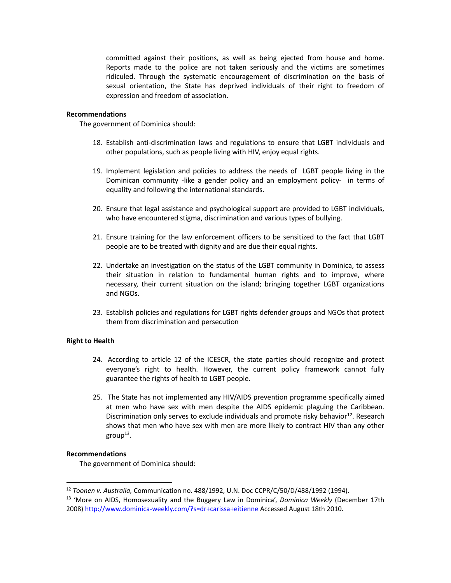committed against their positions, as well as being ejected from house and home. Reports made to the police are not taken seriously and the victims are sometimes ridiculed. Through the systematic encouragement of discrimination on the basis of sexual orientation, the State has deprived individuals of their right to freedom of expression and freedom of association.

#### **Recommendations**

The government of Dominica should:

- 18. Establish anti-discrimination laws and regulations to ensure that LGBT individuals and other populations, such as people living with HIV, enjoy equal rights.
- 19. Implement legislation and policies to address the needs of LGBT people living in the Dominican community -like a gender policy and an employment policy- in terms of equality and following the international standards.
- 20. Ensure that legal assistance and psychological support are provided to LGBT individuals, who have encountered stigma, discrimination and various types of bullying.
- 21. Ensure training for the law enforcement officers to be sensitized to the fact that LGBT people are to be treated with dignity and are due their equal rights.
- 22. Undertake an investigation on the status of the LGBT community in Dominica, to assess their situation in relation to fundamental human rights and to improve, where necessary, their current situation on the island; bringing together LGBT organizations and NGOs.
- 23. Establish policies and regulations for LGBT rights defender groups and NGOs that protect them from discrimination and persecution

## **Right to Health**

- 24. According to article 12 of the ICESCR, the state parties should recognize and protect everyone's right to health. However, the current policy framework cannot fully guarantee the rights of health to LGBT people.
- 25. The State has not implemented any HIV/AIDS prevention programme specifically aimed at men who have sex with men despite the AIDS epidemic plaguing the Caribbean. Discrimination only serves to exclude individuals and promote risky behavior $12$ . Research shows that men who have sex with men are more likely to contract HIV than any other group $^{13}$ .

#### **Recommendations**

l

The government of Dominica should:

<sup>12</sup> *Toonen v. Australia,* Communication no. 488/1992, U.N. Doc CCPR/C/50/D/488/1992 (1994).

<sup>13</sup> 'More on AIDS, Homosexuality and the Buggery Law in Dominica', *Dominica Weekly* (December 17th 2008) http://www.dominica-weekly.com/?s=dr+carissa+eitienne Accessed August 18th 2010.